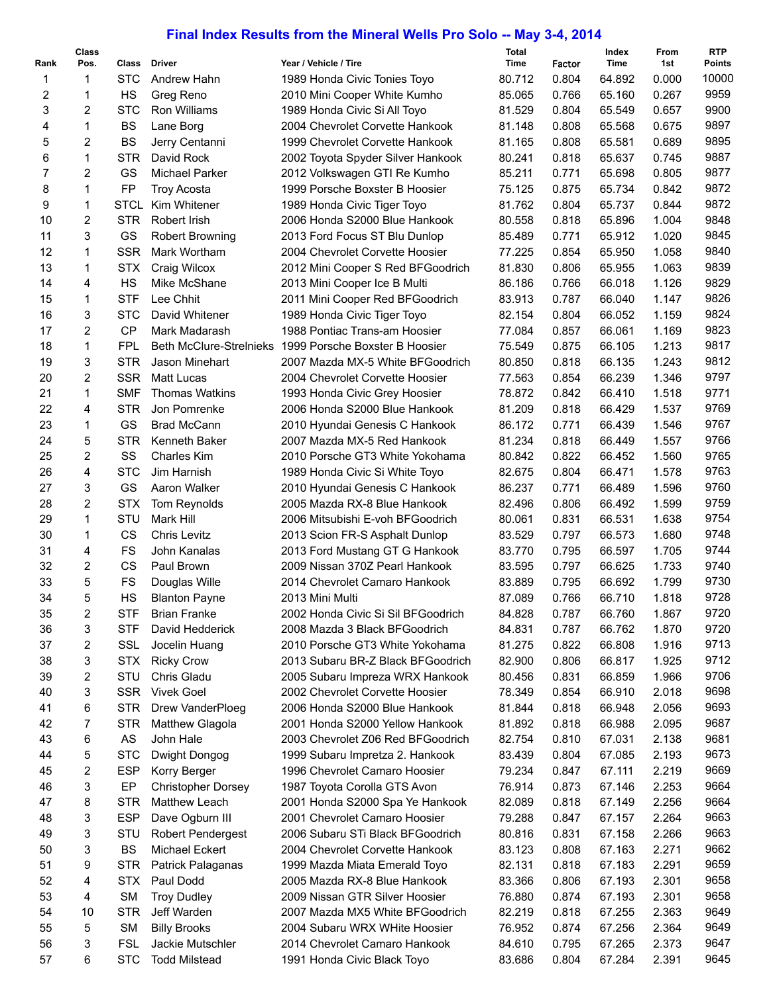## **Final Index Results from the Mineral Wells Pro Solo -- May 3-4, 2014**

| Rank | <b>Class</b><br>Pos. | Class       | <b>Driver</b>                  | Year / Vehicle / Tire              | Total<br>Time | Factor | Index<br>Time | From<br>1st | <b>RTP</b><br><b>Points</b> |
|------|----------------------|-------------|--------------------------------|------------------------------------|---------------|--------|---------------|-------------|-----------------------------|
| 1    | 1                    | <b>STC</b>  | Andrew Hahn                    | 1989 Honda Civic Tonies Toyo       | 80.712        | 0.804  | 64.892        | 0.000       | 10000                       |
| 2    | 1                    | HS          | Greg Reno                      | 2010 Mini Cooper White Kumho       | 85.065        | 0.766  | 65.160        | 0.267       | 9959                        |
| 3    | 2                    | <b>STC</b>  | Ron Williams                   | 1989 Honda Civic Si All Toyo       | 81.529        | 0.804  | 65.549        | 0.657       | 9900                        |
| 4    | 1                    | <b>BS</b>   | Lane Borg                      | 2004 Chevrolet Corvette Hankook    | 81.148        | 0.808  | 65.568        | 0.675       | 9897                        |
| 5    | 2                    | <b>BS</b>   | Jerry Centanni                 | 1999 Chevrolet Corvette Hankook    | 81.165        | 0.808  | 65.581        | 0.689       | 9895                        |
| 6    | $\mathbf{1}$         | <b>STR</b>  | David Rock                     | 2002 Toyota Spyder Silver Hankook  | 80.241        | 0.818  | 65.637        | 0.745       | 9887                        |
| 7    | 2                    | GS          | Michael Parker                 | 2012 Volkswagen GTI Re Kumho       | 85.211        | 0.771  | 65.698        | 0.805       | 9877                        |
| 8    | 1                    | <b>FP</b>   | <b>Troy Acosta</b>             | 1999 Porsche Boxster B Hoosier     | 75.125        | 0.875  | 65.734        | 0.842       | 9872                        |
| 9    | 1                    | <b>STCL</b> | Kim Whitener                   | 1989 Honda Civic Tiger Toyo        | 81.762        | 0.804  | 65.737        | 0.844       | 9872                        |
| 10   | 2                    | <b>STR</b>  | Robert Irish                   | 2006 Honda S2000 Blue Hankook      | 80.558        | 0.818  | 65.896        | 1.004       | 9848                        |
| 11   | 3                    | GS          | <b>Robert Browning</b>         | 2013 Ford Focus ST Blu Dunlop      | 85.489        | 0.771  | 65.912        | 1.020       | 9845                        |
| 12   | 1                    | <b>SSR</b>  | Mark Wortham                   | 2004 Chevrolet Corvette Hoosier    | 77.225        | 0.854  | 65.950        | 1.058       | 9840                        |
| 13   | 1                    | <b>STX</b>  | Craig Wilcox                   | 2012 Mini Cooper S Red BFGoodrich  | 81.830        | 0.806  | 65.955        | 1.063       | 9839                        |
| 14   | 4                    | HS          | Mike McShane                   | 2013 Mini Cooper Ice B Multi       | 86.186        | 0.766  | 66.018        | 1.126       | 9829                        |
| 15   | 1                    | <b>STF</b>  | Lee Chhit                      | 2011 Mini Cooper Red BFGoodrich    | 83.913        | 0.787  | 66.040        | 1.147       | 9826                        |
| 16   | 3                    | <b>STC</b>  | David Whitener                 | 1989 Honda Civic Tiger Toyo        | 82.154        | 0.804  | 66.052        | 1.159       | 9824                        |
| 17   | 2                    | <b>CP</b>   | Mark Madarash                  | 1988 Pontiac Trans-am Hoosier      | 77.084        | 0.857  | 66.061        | 1.169       | 9823                        |
| 18   | 1                    | <b>FPL</b>  | <b>Beth McClure-Strelnieks</b> | 1999 Porsche Boxster B Hoosier     | 75.549        | 0.875  | 66.105        | 1.213       | 9817                        |
| 19   | 3                    | <b>STR</b>  | Jason Minehart                 | 2007 Mazda MX-5 White BFGoodrich   | 80.850        | 0.818  | 66.135        | 1.243       | 9812                        |
| 20   | 2                    | <b>SSR</b>  | <b>Matt Lucas</b>              | 2004 Chevrolet Corvette Hoosier    | 77.563        | 0.854  | 66.239        | 1.346       | 9797                        |
| 21   | 1                    | <b>SMF</b>  | <b>Thomas Watkins</b>          | 1993 Honda Civic Grey Hoosier      | 78.872        | 0.842  | 66.410        | 1.518       | 9771                        |
| 22   | 4                    | <b>STR</b>  | Jon Pomrenke                   | 2006 Honda S2000 Blue Hankook      | 81.209        | 0.818  | 66.429        | 1.537       | 9769                        |
| 23   | 1                    | GS          | <b>Brad McCann</b>             | 2010 Hyundai Genesis C Hankook     | 86.172        | 0.771  | 66.439        | 1.546       | 9767                        |
| 24   | 5                    | <b>STR</b>  | Kenneth Baker                  | 2007 Mazda MX-5 Red Hankook        | 81.234        | 0.818  | 66.449        | 1.557       | 9766                        |
| 25   | $\overline{2}$       | SS          | Charles Kim                    | 2010 Porsche GT3 White Yokohama    | 80.842        | 0.822  | 66.452        | 1.560       | 9765                        |
| 26   | 4                    | <b>STC</b>  | Jim Harnish                    | 1989 Honda Civic Si White Toyo     | 82.675        | 0.804  | 66.471        | 1.578       | 9763                        |
| 27   | 3                    | GS          | Aaron Walker                   | 2010 Hyundai Genesis C Hankook     | 86.237        | 0.771  | 66.489        | 1.596       | 9760                        |
| 28   | 2                    | <b>STX</b>  | Tom Reynolds                   | 2005 Mazda RX-8 Blue Hankook       | 82.496        | 0.806  | 66.492        | 1.599       | 9759                        |
| 29   | $\mathbf{1}$         | STU         | Mark Hill                      | 2006 Mitsubishi E-voh BFGoodrich   | 80.061        | 0.831  | 66.531        | 1.638       | 9754                        |
| 30   | 1                    | <b>CS</b>   | <b>Chris Levitz</b>            | 2013 Scion FR-S Asphalt Dunlop     | 83.529        | 0.797  | 66.573        | 1.680       | 9748                        |
| 31   | 4                    | <b>FS</b>   | John Kanalas                   | 2013 Ford Mustang GT G Hankook     | 83.770        | 0.795  | 66.597        | 1.705       | 9744                        |
| 32   | 2                    | <b>CS</b>   | Paul Brown                     | 2009 Nissan 370Z Pearl Hankook     | 83.595        | 0.797  | 66.625        | 1.733       | 9740                        |
| 33   | 5                    | FS          | Douglas Wille                  | 2014 Chevrolet Camaro Hankook      | 83.889        | 0.795  | 66.692        | 1.799       | 9730                        |
| 34   | 5                    | <b>HS</b>   | <b>Blanton Payne</b>           | 2013 Mini Multi                    | 87.089        | 0.766  | 66.710        | 1.818       | 9728                        |
| 35   | 2                    | <b>STF</b>  | <b>Brian Franke</b>            | 2002 Honda Civic Si Sil BFGoodrich | 84.828        | 0.787  | 66.760        | 1.867       | 9720                        |
| 36   | 3                    | <b>STF</b>  | David Hedderick                | 2008 Mazda 3 Black BFGoodrich      | 84.831        | 0.787  | 66.762        | 1.870       | 9720                        |
| 37   | 2                    | SSL         | Jocelin Huang                  | 2010 Porsche GT3 White Yokohama    | 81.275        | 0.822  | 66.808        | 1.916       | 9713                        |
| 38   | 3                    | <b>STX</b>  | <b>Ricky Crow</b>              | 2013 Subaru BR-Z Black BFGoodrich  | 82.900        | 0.806  | 66.817        | 1.925       | 9712                        |
| 39   | 2                    | STU         | Chris Gladu                    | 2005 Subaru Impreza WRX Hankook    | 80.456        | 0.831  | 66.859        | 1.966       | 9706                        |
| 40   | 3                    | SSR         | <b>Vivek Goel</b>              | 2002 Chevrolet Corvette Hoosier    | 78.349        | 0.854  | 66.910        | 2.018       | 9698                        |
| 41   | 6                    | <b>STR</b>  | Drew VanderPloeg               | 2006 Honda S2000 Blue Hankook      | 81.844        | 0.818  | 66.948        | 2.056       | 9693                        |
| 42   | 7                    | STR         | <b>Matthew Glagola</b>         | 2001 Honda S2000 Yellow Hankook    | 81.892        | 0.818  | 66.988        | 2.095       | 9687                        |
| 43   | 6                    | AS          | John Hale                      | 2003 Chevrolet Z06 Red BFGoodrich  | 82.754        | 0.810  | 67.031        | 2.138       | 9681                        |
| 44   | 5                    | <b>STC</b>  | Dwight Dongog                  | 1999 Subaru Impretza 2. Hankook    | 83.439        | 0.804  | 67.085        | 2.193       | 9673                        |
| 45   | 2                    | <b>ESP</b>  | Korry Berger                   | 1996 Chevrolet Camaro Hoosier      | 79.234        | 0.847  | 67.111        | 2.219       | 9669                        |
| 46   | 3                    | EP          | <b>Christopher Dorsey</b>      | 1987 Toyota Corolla GTS Avon       | 76.914        | 0.873  | 67.146        | 2.253       | 9664                        |
| 47   | 8                    | STR         | Matthew Leach                  | 2001 Honda S2000 Spa Ye Hankook    | 82.089        | 0.818  | 67.149        | 2.256       | 9664                        |
| 48   | 3                    | <b>ESP</b>  | Dave Ogburn III                | 2001 Chevrolet Camaro Hoosier      | 79.288        | 0.847  | 67.157        | 2.264       | 9663                        |
| 49   | 3                    | STU         | <b>Robert Pendergest</b>       | 2006 Subaru STi Black BFGoodrich   | 80.816        | 0.831  | 67.158        | 2.266       | 9663                        |
| 50   | 3                    | BS          | Michael Eckert                 | 2004 Chevrolet Corvette Hankook    | 83.123        | 0.808  | 67.163        | 2.271       | 9662                        |
| 51   | 9                    | STR         | Patrick Palaganas              | 1999 Mazda Miata Emerald Toyo      | 82.131        | 0.818  | 67.183        | 2.291       | 9659                        |
| 52   | 4                    | <b>STX</b>  | Paul Dodd                      | 2005 Mazda RX-8 Blue Hankook       | 83.366        | 0.806  | 67.193        | 2.301       | 9658                        |
| 53   | 4                    | <b>SM</b>   | <b>Troy Dudley</b>             | 2009 Nissan GTR Silver Hoosier     | 76.880        | 0.874  | 67.193        | 2.301       | 9658                        |
| 54   | 10                   | <b>STR</b>  | Jeff Warden                    | 2007 Mazda MX5 White BFGoodrich    | 82.219        | 0.818  | 67.255        | 2.363       | 9649                        |
| 55   | 5                    | <b>SM</b>   | <b>Billy Brooks</b>            | 2004 Subaru WRX WHite Hoosier      | 76.952        | 0.874  | 67.256        | 2.364       | 9649                        |
| 56   | 3                    | <b>FSL</b>  | Jackie Mutschler               | 2014 Chevrolet Camaro Hankook      | 84.610        | 0.795  | 67.265        | 2.373       | 9647                        |
| 57   | 6                    | <b>STC</b>  | <b>Todd Milstead</b>           | 1991 Honda Civic Black Toyo        | 83.686        | 0.804  | 67.284        | 2.391       | 9645                        |
|      |                      |             |                                |                                    |               |        |               |             |                             |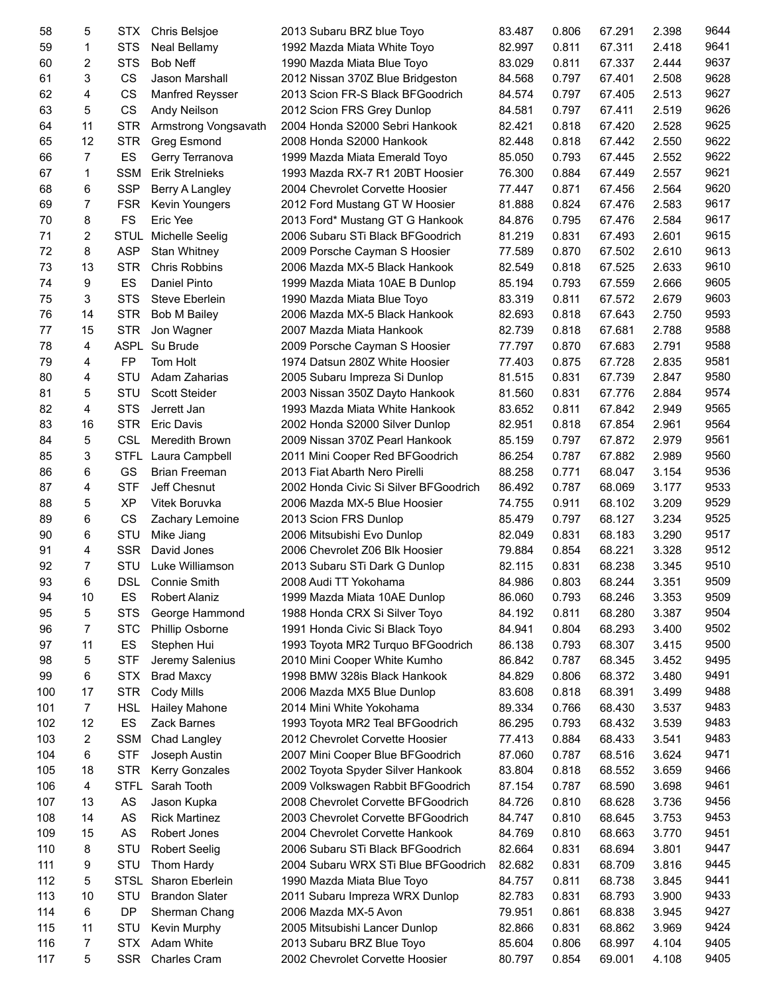| 58  | 5              | STX         | Chris Belsjoe          | 2013 Subaru BRZ blue Toyo             | 83.487 | 0.806 | 67.291 | 2.398 | 9644 |
|-----|----------------|-------------|------------------------|---------------------------------------|--------|-------|--------|-------|------|
| 59  | 1              | <b>STS</b>  | Neal Bellamy           | 1992 Mazda Miata White Toyo           | 82.997 | 0.811 | 67.311 | 2.418 | 9641 |
| 60  | 2              | <b>STS</b>  | <b>Bob Neff</b>        | 1990 Mazda Miata Blue Toyo            | 83.029 | 0.811 | 67.337 | 2.444 | 9637 |
| 61  | 3              | <b>CS</b>   | Jason Marshall         | 2012 Nissan 370Z Blue Bridgeston      | 84.568 | 0.797 | 67.401 | 2.508 | 9628 |
| 62  | 4              | CS          | <b>Manfred Reysser</b> | 2013 Scion FR-S Black BFGoodrich      | 84.574 | 0.797 | 67.405 | 2.513 | 9627 |
| 63  | 5              | <b>CS</b>   | Andy Neilson           | 2012 Scion FRS Grey Dunlop            | 84.581 | 0.797 | 67.411 | 2.519 | 9626 |
| 64  | 11             | <b>STR</b>  | Armstrong Vongsavath   | 2004 Honda S2000 Sebri Hankook        | 82.421 | 0.818 | 67.420 | 2.528 | 9625 |
| 65  | 12             | <b>STR</b>  | Greg Esmond            | 2008 Honda S2000 Hankook              | 82.448 | 0.818 | 67.442 | 2.550 | 9622 |
| 66  | 7              | ES          | Gerry Terranova        | 1999 Mazda Miata Emerald Toyo         | 85.050 | 0.793 | 67.445 | 2.552 | 9622 |
| 67  | $\mathbf{1}$   | <b>SSM</b>  | <b>Erik Strelnieks</b> | 1993 Mazda RX-7 R1 20BT Hoosier       | 76.300 | 0.884 | 67.449 | 2.557 | 9621 |
|     |                |             |                        | 2004 Chevrolet Corvette Hoosier       | 77.447 |       |        |       | 9620 |
| 68  | 6              | <b>SSP</b>  | Berry A Langley        |                                       |        | 0.871 | 67.456 | 2.564 |      |
| 69  | 7              | <b>FSR</b>  | Kevin Youngers         | 2012 Ford Mustang GT W Hoosier        | 81.888 | 0.824 | 67.476 | 2.583 | 9617 |
| 70  | 8              | <b>FS</b>   | Eric Yee               | 2013 Ford* Mustang GT G Hankook       | 84.876 | 0.795 | 67.476 | 2.584 | 9617 |
| 71  | 2              | <b>STUL</b> | Michelle Seelig        | 2006 Subaru STi Black BFGoodrich      | 81.219 | 0.831 | 67.493 | 2.601 | 9615 |
| 72  | 8              | <b>ASP</b>  | <b>Stan Whitney</b>    | 2009 Porsche Cayman S Hoosier         | 77.589 | 0.870 | 67.502 | 2.610 | 9613 |
| 73  | 13             | <b>STR</b>  | <b>Chris Robbins</b>   | 2006 Mazda MX-5 Black Hankook         | 82.549 | 0.818 | 67.525 | 2.633 | 9610 |
| 74  | 9              | ES          | Daniel Pinto           | 1999 Mazda Miata 10AE B Dunlop        | 85.194 | 0.793 | 67.559 | 2.666 | 9605 |
| 75  | 3              | <b>STS</b>  | Steve Eberlein         | 1990 Mazda Miata Blue Toyo            | 83.319 | 0.811 | 67.572 | 2.679 | 9603 |
| 76  | 14             | <b>STR</b>  | <b>Bob M Bailey</b>    | 2006 Mazda MX-5 Black Hankook         | 82.693 | 0.818 | 67.643 | 2.750 | 9593 |
| 77  | 15             | <b>STR</b>  | Jon Wagner             | 2007 Mazda Miata Hankook              | 82.739 | 0.818 | 67.681 | 2.788 | 9588 |
| 78  | 4              |             | ASPL Su Brude          | 2009 Porsche Cayman S Hoosier         | 77.797 | 0.870 | 67.683 | 2.791 | 9588 |
| 79  | 4              | FP          | Tom Holt               | 1974 Datsun 280Z White Hoosier        | 77.403 | 0.875 | 67.728 | 2.835 | 9581 |
| 80  | 4              | STU         | Adam Zaharias          | 2005 Subaru Impreza Si Dunlop         | 81.515 | 0.831 | 67.739 | 2.847 | 9580 |
| 81  | 5              | STU         | Scott Steider          | 2003 Nissan 350Z Dayto Hankook        | 81.560 | 0.831 | 67.776 | 2.884 | 9574 |
| 82  | 4              | <b>STS</b>  | Jerrett Jan            | 1993 Mazda Miata White Hankook        | 83.652 | 0.811 | 67.842 | 2.949 | 9565 |
| 83  | 16             | <b>STR</b>  | <b>Eric Davis</b>      | 2002 Honda S2000 Silver Dunlop        | 82.951 | 0.818 | 67.854 | 2.961 | 9564 |
| 84  | 5              | <b>CSL</b>  | Meredith Brown         | 2009 Nissan 370Z Pearl Hankook        | 85.159 | 0.797 | 67.872 | 2.979 | 9561 |
|     |                |             |                        |                                       |        |       |        |       |      |
| 85  | 3              | STFL        | Laura Campbell         | 2011 Mini Cooper Red BFGoodrich       | 86.254 | 0.787 | 67.882 | 2.989 | 9560 |
| 86  | 6              | GS          | <b>Brian Freeman</b>   | 2013 Fiat Abarth Nero Pirelli         | 88.258 | 0.771 | 68.047 | 3.154 | 9536 |
| 87  | 4              | <b>STF</b>  | Jeff Chesnut           | 2002 Honda Civic Si Silver BFGoodrich | 86.492 | 0.787 | 68.069 | 3.177 | 9533 |
| 88  | 5              | XP          | Vitek Boruvka          | 2006 Mazda MX-5 Blue Hoosier          | 74.755 | 0.911 | 68.102 | 3.209 | 9529 |
| 89  | 6              | CS          | Zachary Lemoine        | 2013 Scion FRS Dunlop                 | 85.479 | 0.797 | 68.127 | 3.234 | 9525 |
| 90  | 6              | STU         | Mike Jiang             | 2006 Mitsubishi Evo Dunlop            | 82.049 | 0.831 | 68.183 | 3.290 | 9517 |
| 91  | 4              | <b>SSR</b>  | David Jones            | 2006 Chevrolet Z06 Blk Hoosier        | 79.884 | 0.854 | 68.221 | 3.328 | 9512 |
| 92  | 7              | <b>STU</b>  | Luke Williamson        | 2013 Subaru STi Dark G Dunlop         | 82.115 | 0.831 | 68.238 | 3.345 | 9510 |
| 93  | 6              | <b>DSL</b>  | Connie Smith           | 2008 Audi TT Yokohama                 | 84.986 | 0.803 | 68.244 | 3.351 | 9509 |
| 94  | 10             | ES          | <b>Robert Alaniz</b>   | 1999 Mazda Miata 10AE Dunlop          | 86.060 | 0.793 | 68.246 | 3.353 | 9509 |
| 95  | 5              | <b>STS</b>  | George Hammond         | 1988 Honda CRX Si Silver Toyo         | 84.192 | 0.811 | 68.280 | 3.387 | 9504 |
| 96  | 7              | <b>STC</b>  | Phillip Osborne        | 1991 Honda Civic Si Black Toyo        | 84.941 | 0.804 | 68.293 | 3.400 | 9502 |
| 97  | 11             | ES          | Stephen Hui            | 1993 Toyota MR2 Turquo BFGoodrich     | 86.138 | 0.793 | 68.307 | 3.415 | 9500 |
| 98  | 5              | <b>STF</b>  | Jeremy Salenius        | 2010 Mini Cooper White Kumho          | 86.842 | 0.787 | 68.345 | 3.452 | 9495 |
| 99  | 6              | <b>STX</b>  | <b>Brad Maxcy</b>      | 1998 BMW 328is Black Hankook          | 84.829 | 0.806 | 68.372 | 3.480 | 9491 |
| 100 | 17             | <b>STR</b>  | Cody Mills             | 2006 Mazda MX5 Blue Dunlop            | 83.608 | 0.818 | 68.391 | 3.499 | 9488 |
| 101 | $\overline{7}$ | <b>HSL</b>  | Hailey Mahone          | 2014 Mini White Yokohama              | 89.334 | 0.766 | 68.430 | 3.537 | 9483 |
| 102 | 12             | ES          | Zack Barnes            | 1993 Toyota MR2 Teal BFGoodrich       | 86.295 | 0.793 | 68.432 | 3.539 | 9483 |
| 103 |                | <b>SSM</b>  |                        |                                       |        | 0.884 |        |       | 9483 |
|     | 2              |             | Chad Langley           | 2012 Chevrolet Corvette Hoosier       | 77.413 |       | 68.433 | 3.541 |      |
| 104 | 6              | <b>STF</b>  | Joseph Austin          | 2007 Mini Cooper Blue BFGoodrich      | 87.060 | 0.787 | 68.516 | 3.624 | 9471 |
| 105 | 18             | <b>STR</b>  | <b>Kerry Gonzales</b>  | 2002 Toyota Spyder Silver Hankook     | 83.804 | 0.818 | 68.552 | 3.659 | 9466 |
| 106 | 4              | <b>STFL</b> | Sarah Tooth            | 2009 Volkswagen Rabbit BFGoodrich     | 87.154 | 0.787 | 68.590 | 3.698 | 9461 |
| 107 | 13             | AS          | Jason Kupka            | 2008 Chevrolet Corvette BFGoodrich    | 84.726 | 0.810 | 68.628 | 3.736 | 9456 |
| 108 | 14             | AS          | <b>Rick Martinez</b>   | 2003 Chevrolet Corvette BFGoodrich    | 84.747 | 0.810 | 68.645 | 3.753 | 9453 |
| 109 | 15             | AS          | Robert Jones           | 2004 Chevrolet Corvette Hankook       | 84.769 | 0.810 | 68.663 | 3.770 | 9451 |
| 110 | 8              | STU         | <b>Robert Seelig</b>   | 2006 Subaru STi Black BFGoodrich      | 82.664 | 0.831 | 68.694 | 3.801 | 9447 |
| 111 | 9              | STU         | Thom Hardy             | 2004 Subaru WRX STi Blue BFGoodrich   | 82.682 | 0.831 | 68.709 | 3.816 | 9445 |
| 112 | 5              | <b>STSL</b> | Sharon Eberlein        | 1990 Mazda Miata Blue Toyo            | 84.757 | 0.811 | 68.738 | 3.845 | 9441 |
| 113 | 10             | STU         | <b>Brandon Slater</b>  | 2011 Subaru Impreza WRX Dunlop        | 82.783 | 0.831 | 68.793 | 3.900 | 9433 |
| 114 | 6              | <b>DP</b>   | Sherman Chang          | 2006 Mazda MX-5 Avon                  | 79.951 | 0.861 | 68.838 | 3.945 | 9427 |
| 115 | 11             | STU         | Kevin Murphy           | 2005 Mitsubishi Lancer Dunlop         | 82.866 | 0.831 | 68.862 | 3.969 | 9424 |
| 116 | 7              | <b>STX</b>  | Adam White             | 2013 Subaru BRZ Blue Toyo             | 85.604 | 0.806 | 68.997 | 4.104 | 9405 |
| 117 | 5              | <b>SSR</b>  | Charles Cram           | 2002 Chevrolet Corvette Hoosier       | 80.797 | 0.854 | 69.001 | 4.108 | 9405 |
|     |                |             |                        |                                       |        |       |        |       |      |